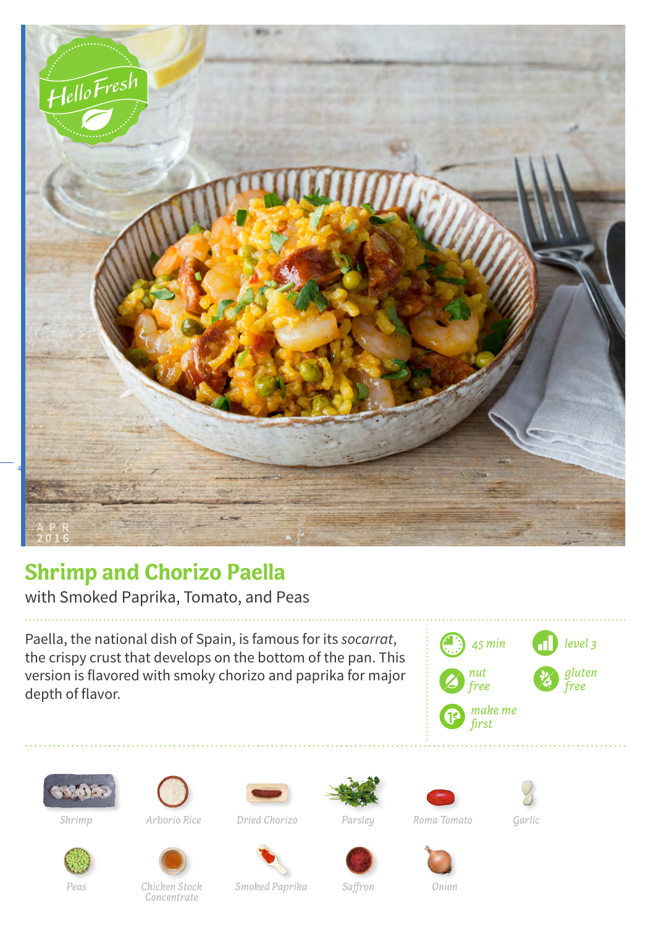

## **Shrimp and Chorizo Paella**

with Smoked Paprika, Tomato, and Peas

Paella, the national dish of Spain, is famous for its *socarrat*, the crispy crust that develops on the bottom of the pan. This version is flavored with smoky chorizo and paprika for major depth of flavor.









*Parsley*

*Shrimp Arborio Rice Dried Chorizo Roma Tomato Garlic*





*Smoked Paprika Saffron Onion*

*Peas Chicken Stock Concentrate*